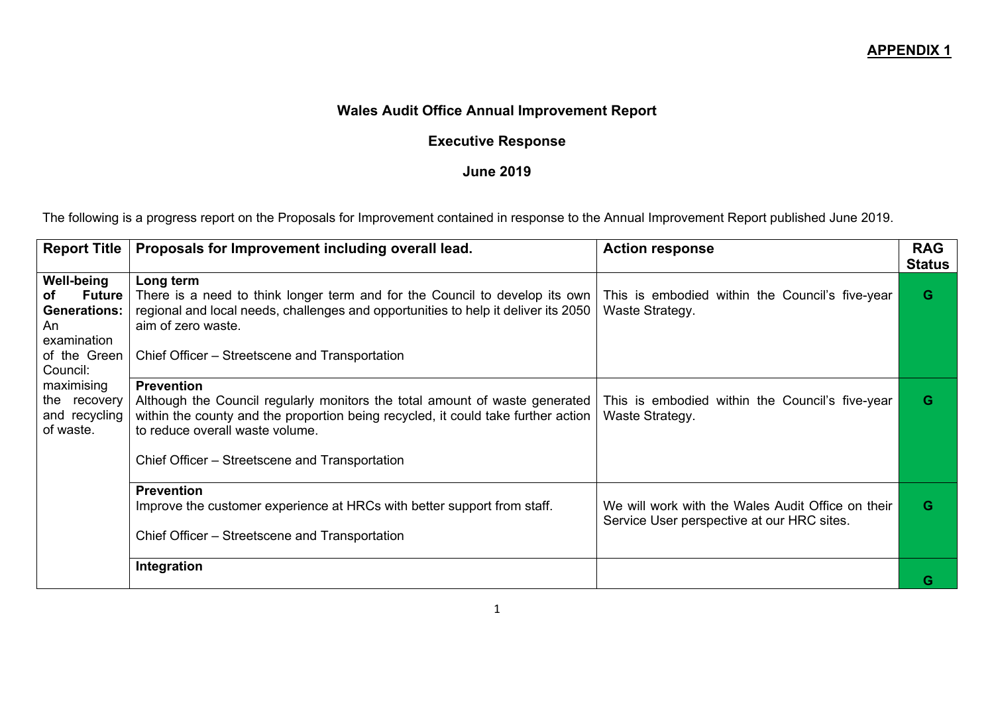## **Wales Audit Office Annual Improvement Report**

## **Executive Response**

## **June 2019**

The following is a progress report on the Proposals for Improvement contained in response to the Annual Improvement Report published June 2019.

| <b>Report Title</b>                                                                                              | Proposals for Improvement including overall lead.                                                                                                                                                                                                                          | <b>Action response</b>                                                                          | <b>RAG</b><br><b>Status</b> |
|------------------------------------------------------------------------------------------------------------------|----------------------------------------------------------------------------------------------------------------------------------------------------------------------------------------------------------------------------------------------------------------------------|-------------------------------------------------------------------------------------------------|-----------------------------|
| <b>Well-being</b><br><b>Future</b><br>οf<br><b>Generations:</b><br>An<br>examination<br>of the Green<br>Council: | Long term<br>There is a need to think longer term and for the Council to develop its own<br>regional and local needs, challenges and opportunities to help it deliver its 2050<br>aim of zero waste.<br>Chief Officer – Streetscene and Transportation                     | This is embodied within the Council's five-year<br>Waste Strategy.                              | G                           |
| maximising<br>the recovery<br>and recycling<br>of waste.                                                         | <b>Prevention</b><br>Although the Council regularly monitors the total amount of waste generated<br>within the county and the proportion being recycled, it could take further action<br>to reduce overall waste volume.<br>Chief Officer – Streetscene and Transportation | This is embodied within the Council's five-year<br>Waste Strategy.                              | G                           |
|                                                                                                                  | <b>Prevention</b><br>Improve the customer experience at HRCs with better support from staff.<br>Chief Officer – Streetscene and Transportation                                                                                                                             | We will work with the Wales Audit Office on their<br>Service User perspective at our HRC sites. | G                           |
|                                                                                                                  | Integration                                                                                                                                                                                                                                                                |                                                                                                 | G                           |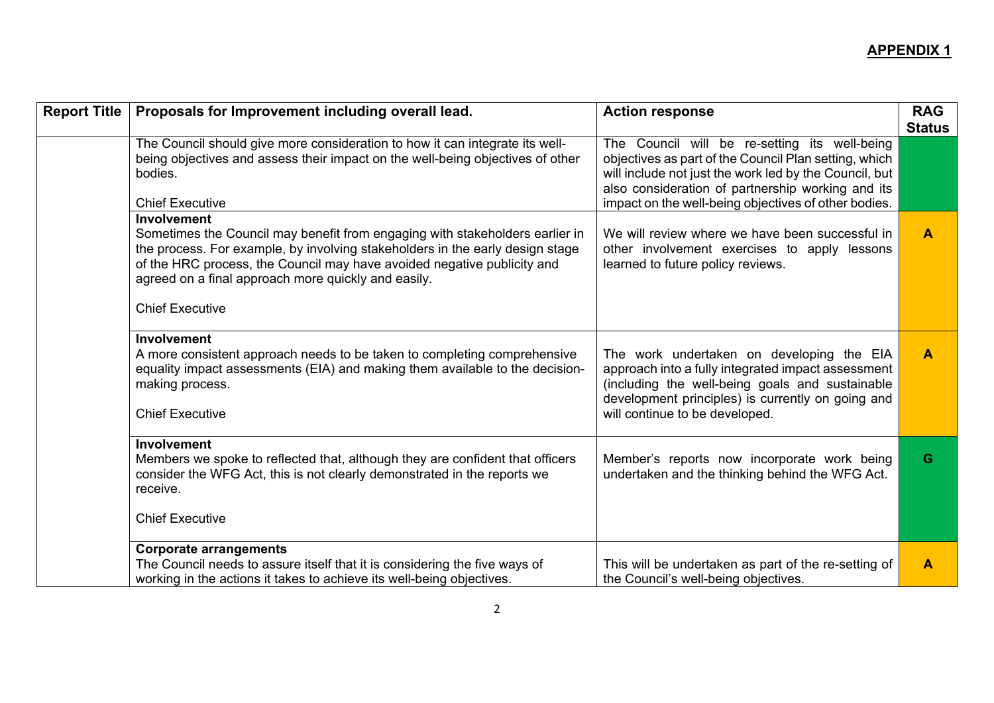| <b>Report Title</b> | Proposals for Improvement including overall lead.                                                                                                                                                                                                                                                                                        | <b>Action response</b>                                                                                                                                                                                                                                                        | <b>RAG</b><br><b>Status</b> |
|---------------------|------------------------------------------------------------------------------------------------------------------------------------------------------------------------------------------------------------------------------------------------------------------------------------------------------------------------------------------|-------------------------------------------------------------------------------------------------------------------------------------------------------------------------------------------------------------------------------------------------------------------------------|-----------------------------|
|                     | The Council should give more consideration to how it can integrate its well-<br>being objectives and assess their impact on the well-being objectives of other<br>bodies.<br><b>Chief Executive</b>                                                                                                                                      | The Council will be re-setting its well-being<br>objectives as part of the Council Plan setting, which<br>will include not just the work led by the Council, but<br>also consideration of partnership working and its<br>impact on the well-being objectives of other bodies. |                             |
|                     | Involvement<br>Sometimes the Council may benefit from engaging with stakeholders earlier in<br>the process. For example, by involving stakeholders in the early design stage<br>of the HRC process, the Council may have avoided negative publicity and<br>agreed on a final approach more quickly and easily.<br><b>Chief Executive</b> | We will review where we have been successful in<br>other involvement exercises to apply lessons<br>learned to future policy reviews.                                                                                                                                          | A                           |
|                     |                                                                                                                                                                                                                                                                                                                                          |                                                                                                                                                                                                                                                                               |                             |
|                     | Involvement<br>A more consistent approach needs to be taken to completing comprehensive<br>equality impact assessments (EIA) and making them available to the decision-<br>making process.<br><b>Chief Executive</b>                                                                                                                     | The work undertaken on developing the EIA<br>approach into a fully integrated impact assessment<br>(including the well-being goals and sustainable<br>development principles) is currently on going and<br>will continue to be developed.                                     | $\overline{\mathsf{A}}$     |
|                     | <b>Involvement</b>                                                                                                                                                                                                                                                                                                                       |                                                                                                                                                                                                                                                                               |                             |
|                     | Members we spoke to reflected that, although they are confident that officers<br>consider the WFG Act, this is not clearly demonstrated in the reports we<br>receive.                                                                                                                                                                    | Member's reports now incorporate work being<br>undertaken and the thinking behind the WFG Act.                                                                                                                                                                                | G                           |
|                     | <b>Chief Executive</b>                                                                                                                                                                                                                                                                                                                   |                                                                                                                                                                                                                                                                               |                             |
|                     | <b>Corporate arrangements</b>                                                                                                                                                                                                                                                                                                            |                                                                                                                                                                                                                                                                               |                             |
|                     | The Council needs to assure itself that it is considering the five ways of<br>working in the actions it takes to achieve its well-being objectives.                                                                                                                                                                                      | This will be undertaken as part of the re-setting of<br>the Council's well-being objectives.                                                                                                                                                                                  | A                           |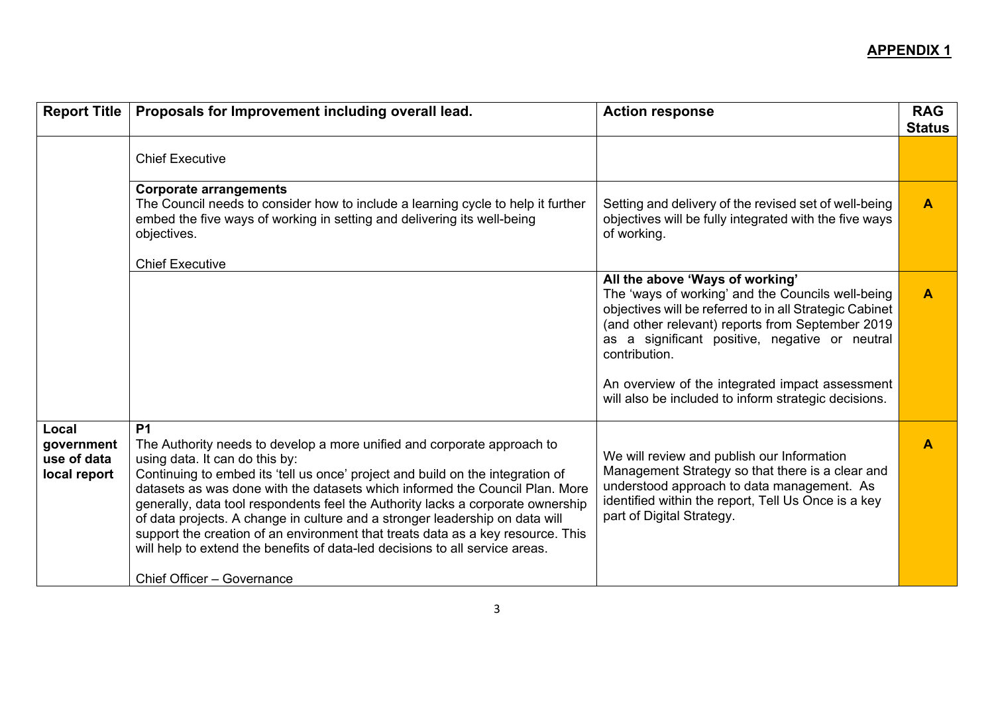| <b>Report Title</b>                                | Proposals for Improvement including overall lead.                                                                                                                                                                                                                                                                                                                                                                                                                                                                                                                                                                              | <b>Action response</b>                                                                                                                                                                                                                                                 | <b>RAG</b><br><b>Status</b> |
|----------------------------------------------------|--------------------------------------------------------------------------------------------------------------------------------------------------------------------------------------------------------------------------------------------------------------------------------------------------------------------------------------------------------------------------------------------------------------------------------------------------------------------------------------------------------------------------------------------------------------------------------------------------------------------------------|------------------------------------------------------------------------------------------------------------------------------------------------------------------------------------------------------------------------------------------------------------------------|-----------------------------|
|                                                    | <b>Chief Executive</b>                                                                                                                                                                                                                                                                                                                                                                                                                                                                                                                                                                                                         |                                                                                                                                                                                                                                                                        |                             |
|                                                    | <b>Corporate arrangements</b><br>The Council needs to consider how to include a learning cycle to help it further<br>embed the five ways of working in setting and delivering its well-being<br>objectives.                                                                                                                                                                                                                                                                                                                                                                                                                    | Setting and delivery of the revised set of well-being<br>objectives will be fully integrated with the five ways<br>of working.                                                                                                                                         | $\blacktriangle$            |
|                                                    | <b>Chief Executive</b>                                                                                                                                                                                                                                                                                                                                                                                                                                                                                                                                                                                                         |                                                                                                                                                                                                                                                                        |                             |
|                                                    |                                                                                                                                                                                                                                                                                                                                                                                                                                                                                                                                                                                                                                | All the above 'Ways of working'<br>The 'ways of working' and the Councils well-being<br>objectives will be referred to in all Strategic Cabinet<br>(and other relevant) reports from September 2019<br>as a significant positive, negative or neutral<br>contribution. | $\blacktriangle$            |
|                                                    |                                                                                                                                                                                                                                                                                                                                                                                                                                                                                                                                                                                                                                | An overview of the integrated impact assessment<br>will also be included to inform strategic decisions.                                                                                                                                                                |                             |
| Local<br>government<br>use of data<br>local report | <b>P1</b><br>The Authority needs to develop a more unified and corporate approach to<br>using data. It can do this by:<br>Continuing to embed its 'tell us once' project and build on the integration of<br>datasets as was done with the datasets which informed the Council Plan. More<br>generally, data tool respondents feel the Authority lacks a corporate ownership<br>of data projects. A change in culture and a stronger leadership on data will<br>support the creation of an environment that treats data as a key resource. This<br>will help to extend the benefits of data-led decisions to all service areas. | We will review and publish our Information<br>Management Strategy so that there is a clear and<br>understood approach to data management. As<br>identified within the report, Tell Us Once is a key<br>part of Digital Strategy.                                       | $\overline{\mathsf{A}}$     |
|                                                    | Chief Officer - Governance                                                                                                                                                                                                                                                                                                                                                                                                                                                                                                                                                                                                     |                                                                                                                                                                                                                                                                        |                             |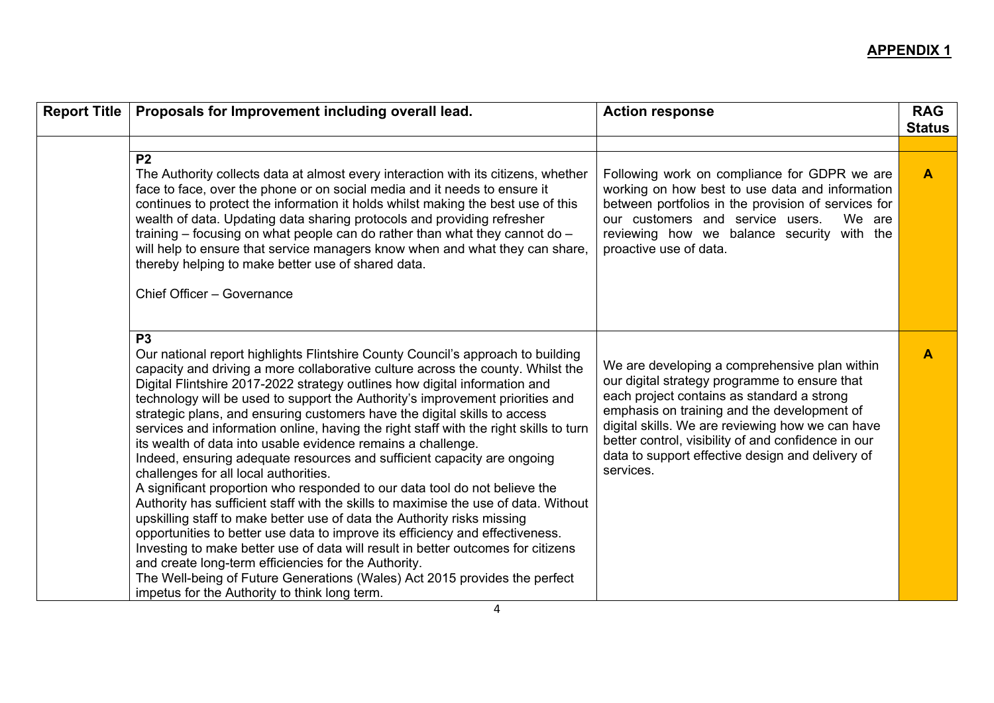| <b>Report Title</b> | Proposals for Improvement including overall lead.                                                                                                                                                                                                                                                                                                                                                                                                                                                                                                                                                                                                                                                                                                                                                                                                                                                                                                                                                                                                                                                                                                                                                                                                                                                                         | <b>Action response</b>                                                                                                                                                                                                                                                                                                                                                  | <b>RAG</b><br><b>Status</b> |
|---------------------|---------------------------------------------------------------------------------------------------------------------------------------------------------------------------------------------------------------------------------------------------------------------------------------------------------------------------------------------------------------------------------------------------------------------------------------------------------------------------------------------------------------------------------------------------------------------------------------------------------------------------------------------------------------------------------------------------------------------------------------------------------------------------------------------------------------------------------------------------------------------------------------------------------------------------------------------------------------------------------------------------------------------------------------------------------------------------------------------------------------------------------------------------------------------------------------------------------------------------------------------------------------------------------------------------------------------------|-------------------------------------------------------------------------------------------------------------------------------------------------------------------------------------------------------------------------------------------------------------------------------------------------------------------------------------------------------------------------|-----------------------------|
|                     | P <sub>2</sub><br>The Authority collects data at almost every interaction with its citizens, whether<br>face to face, over the phone or on social media and it needs to ensure it<br>continues to protect the information it holds whilst making the best use of this<br>wealth of data. Updating data sharing protocols and providing refresher<br>training $-$ focusing on what people can do rather than what they cannot do $-$<br>will help to ensure that service managers know when and what they can share,<br>thereby helping to make better use of shared data.<br>Chief Officer - Governance                                                                                                                                                                                                                                                                                                                                                                                                                                                                                                                                                                                                                                                                                                                   | Following work on compliance for GDPR we are<br>working on how best to use data and information<br>between portfolios in the provision of services for<br>our customers and service users.<br>We are<br>reviewing how we balance security with the<br>proactive use of data.                                                                                            | $\blacktriangle$            |
|                     | P <sub>3</sub><br>Our national report highlights Flintshire County Council's approach to building<br>capacity and driving a more collaborative culture across the county. Whilst the<br>Digital Flintshire 2017-2022 strategy outlines how digital information and<br>technology will be used to support the Authority's improvement priorities and<br>strategic plans, and ensuring customers have the digital skills to access<br>services and information online, having the right staff with the right skills to turn<br>its wealth of data into usable evidence remains a challenge.<br>Indeed, ensuring adequate resources and sufficient capacity are ongoing<br>challenges for all local authorities.<br>A significant proportion who responded to our data tool do not believe the<br>Authority has sufficient staff with the skills to maximise the use of data. Without<br>upskilling staff to make better use of data the Authority risks missing<br>opportunities to better use data to improve its efficiency and effectiveness.<br>Investing to make better use of data will result in better outcomes for citizens<br>and create long-term efficiencies for the Authority.<br>The Well-being of Future Generations (Wales) Act 2015 provides the perfect<br>impetus for the Authority to think long term. | We are developing a comprehensive plan within<br>our digital strategy programme to ensure that<br>each project contains as standard a strong<br>emphasis on training and the development of<br>digital skills. We are reviewing how we can have<br>better control, visibility of and confidence in our<br>data to support effective design and delivery of<br>services. | A                           |